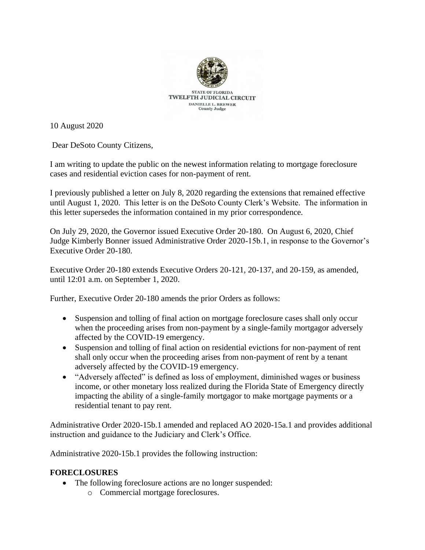

10 August 2020

Dear DeSoto County Citizens,

I am writing to update the public on the newest information relating to mortgage foreclosure cases and residential eviction cases for non-payment of rent.

I previously published a letter on July 8, 2020 regarding the extensions that remained effective until August 1, 2020. This letter is on the DeSoto County Clerk's Website. The information in this letter supersedes the information contained in my prior correspondence.

On July 29, 2020, the Governor issued Executive Order 20-180. On August 6, 2020, Chief Judge Kimberly Bonner issued Administrative Order 2020-15b.1, in response to the Governor's Executive Order 20-180.

Executive Order 20-180 extends Executive Orders 20-121, 20-137, and 20-159, as amended, until 12:01 a.m. on September 1, 2020.

Further, Executive Order 20-180 amends the prior Orders as follows:

- Suspension and tolling of final action on mortgage foreclosure cases shall only occur when the proceeding arises from non-payment by a single-family mortgagor adversely affected by the COVID-19 emergency.
- Suspension and tolling of final action on residential evictions for non-payment of rent shall only occur when the proceeding arises from non-payment of rent by a tenant adversely affected by the COVID-19 emergency.
- "Adversely affected" is defined as loss of employment, diminished wages or business income, or other monetary loss realized during the Florida State of Emergency directly impacting the ability of a single-family mortgagor to make mortgage payments or a residential tenant to pay rent.

Administrative Order 2020-15b.1 amended and replaced AO 2020-15a.1 and provides additional instruction and guidance to the Judiciary and Clerk's Office.

Administrative 2020-15b.1 provides the following instruction:

## **FORECLOSURES**

- The following foreclosure actions are no longer suspended:
	- o Commercial mortgage foreclosures.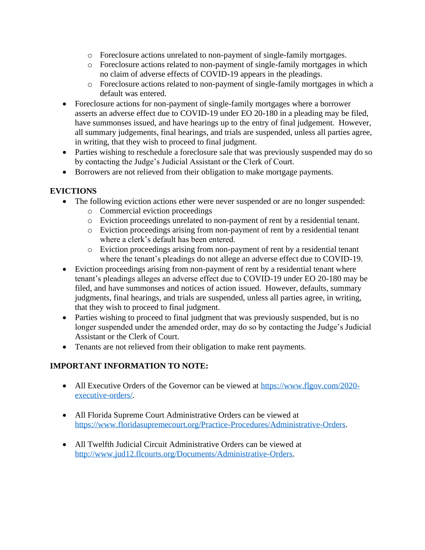- o Foreclosure actions unrelated to non-payment of single-family mortgages.
- o Foreclosure actions related to non-payment of single-family mortgages in which no claim of adverse effects of COVID-19 appears in the pleadings.
- o Foreclosure actions related to non-payment of single-family mortgages in which a default was entered.
- Foreclosure actions for non-payment of single-family mortgages where a borrower asserts an adverse effect due to COVID-19 under EO 20-180 in a pleading may be filed, have summonses issued, and have hearings up to the entry of final judgement. However, all summary judgements, final hearings, and trials are suspended, unless all parties agree, in writing, that they wish to proceed to final judgment.
- Parties wishing to reschedule a foreclosure sale that was previously suspended may do so by contacting the Judge's Judicial Assistant or the Clerk of Court.
- Borrowers are not relieved from their obligation to make mortgage payments.

## **EVICTIONS**

- The following eviction actions ether were never suspended or are no longer suspended:
	- o Commercial eviction proceedings
	- o Eviction proceedings unrelated to non-payment of rent by a residential tenant.
	- o Eviction proceedings arising from non-payment of rent by a residential tenant where a clerk's default has been entered.
	- o Eviction proceedings arising from non-payment of rent by a residential tenant where the tenant's pleadings do not allege an adverse effect due to COVID-19.
- Eviction proceedings arising from non-payment of rent by a residential tenant where tenant's pleadings alleges an adverse effect due to COVID-19 under EO 20-180 may be filed, and have summonses and notices of action issued. However, defaults, summary judgments, final hearings, and trials are suspended, unless all parties agree, in writing, that they wish to proceed to final judgment.
- Parties wishing to proceed to final judgment that was previously suspended, but is no longer suspended under the amended order, may do so by contacting the Judge's Judicial Assistant or the Clerk of Court.
- Tenants are not relieved from their obligation to make rent payments.

## **IMPORTANT INFORMATION TO NOTE:**

- All Executive Orders of the Governor can be viewed at [https://www.flgov.com/2020](https://www.flgov.com/2020-executive-orders/) [executive-orders/.](https://www.flgov.com/2020-executive-orders/)
- All Florida Supreme Court Administrative Orders can be viewed at [https://www.floridasupremecourt.org/Practice-Procedures/Administrative-Orders.](https://www.floridasupremecourt.org/Practice-Procedures/Administrative-Orders)
- All Twelfth Judicial Circuit Administrative Orders can be viewed at [http://www.jud12.flcourts.org/Documents/Administrative-Orders.](http://www.jud12.flcourts.org/Documents/Administrative-Orders)